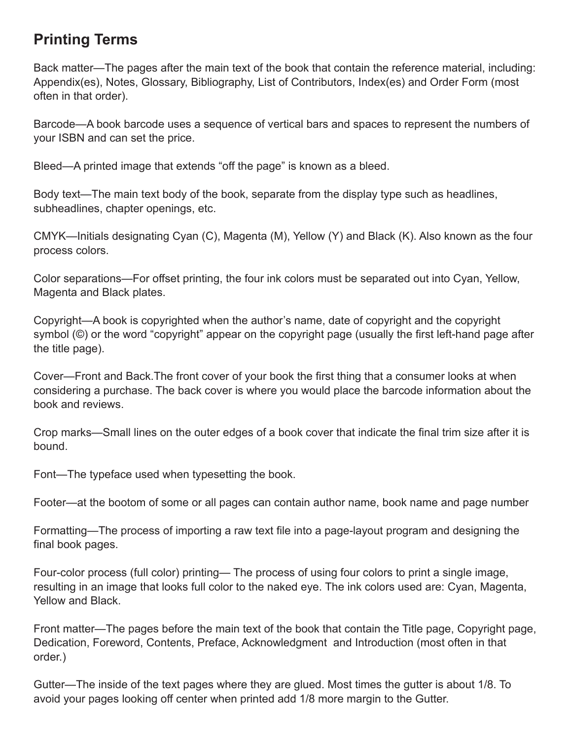## **Printing Terms**

Back matter—The pages after the main text of the book that contain the reference material, including: Appendix(es), Notes, Glossary, Bibliography, List of Contributors, Index(es) and Order Form (most often in that order).

Barcode—A book barcode uses a sequence of vertical bars and spaces to represent the numbers of your ISBN and can set the price.

Bleed—A printed image that extends "off the page" is known as a bleed.

Body text—The main text body of the book, separate from the display type such as headlines, subheadlines, chapter openings, etc.

CMYK—Initials designating Cyan (C), Magenta (M), Yellow (Y) and Black (K). Also known as the four process colors.

Color separations—For offset printing, the four ink colors must be separated out into Cyan, Yellow, Magenta and Black plates.

Copyright—A book is copyrighted when the author's name, date of copyright and the copyright symbol (©) or the word "copyright" appear on the copyright page (usually the first left-hand page after the title page).

Cover—Front and Back.The front cover of your book the first thing that a consumer looks at when considering a purchase. The back cover is where you would place the barcode information about the book and reviews.

Crop marks—Small lines on the outer edges of a book cover that indicate the final trim size after it is bound.

Font—The typeface used when typesetting the book.

Footer—at the bootom of some or all pages can contain author name, book name and page number

Formatting—The process of importing a raw text file into a page-layout program and designing the final book pages.

Four-color process (full color) printing— The process of using four colors to print a single image, resulting in an image that looks full color to the naked eye. The ink colors used are: Cyan, Magenta, Yellow and Black.

Front matter—The pages before the main text of the book that contain the Title page, Copyright page, Dedication, Foreword, Contents, Preface, Acknowledgment and Introduction (most often in that order.)

Gutter—The inside of the text pages where they are glued. Most times the gutter is about 1/8. To avoid your pages looking off center when printed add 1/8 more margin to the Gutter.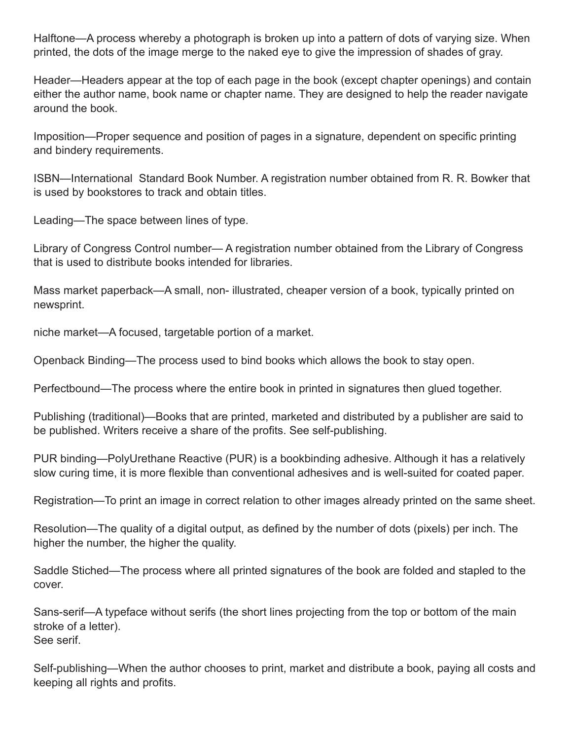Halftone—A process whereby a photograph is broken up into a pattern of dots of varying size. When printed, the dots of the image merge to the naked eye to give the impression of shades of gray.

Header—Headers appear at the top of each page in the book (except chapter openings) and contain either the author name, book name or chapter name. They are designed to help the reader navigate around the book.

Imposition—Proper sequence and position of pages in a signature, dependent on specific printing and bindery requirements.

ISBN—International Standard Book Number. A registration number obtained from R. R. Bowker that is used by bookstores to track and obtain titles.

Leading—The space between lines of type.

Library of Congress Control number— A registration number obtained from the Library of Congress that is used to distribute books intended for libraries.

Mass market paperback—A small, non- illustrated, cheaper version of a book, typically printed on newsprint.

niche market—A focused, targetable portion of a market.

Openback Binding—The process used to bind books which allows the book to stay open.

Perfectbound—The process where the entire book in printed in signatures then glued together.

Publishing (traditional)—Books that are printed, marketed and distributed by a publisher are said to be published. Writers receive a share of the profits. See self-publishing.

PUR binding—PolyUrethane Reactive (PUR) is a bookbinding adhesive. Although it has a relatively slow curing time, it is more flexible than conventional adhesives and is well-suited for coated paper.

Registration—To print an image in correct relation to other images already printed on the same sheet.

Resolution—The quality of a digital output, as defined by the number of dots (pixels) per inch. The higher the number, the higher the quality.

Saddle Stiched—The process where all printed signatures of the book are folded and stapled to the cover.

Sans-serif—A typeface without serifs (the short lines projecting from the top or bottom of the main stroke of a letter). See serif.

Self-publishing—When the author chooses to print, market and distribute a book, paying all costs and keeping all rights and profits.